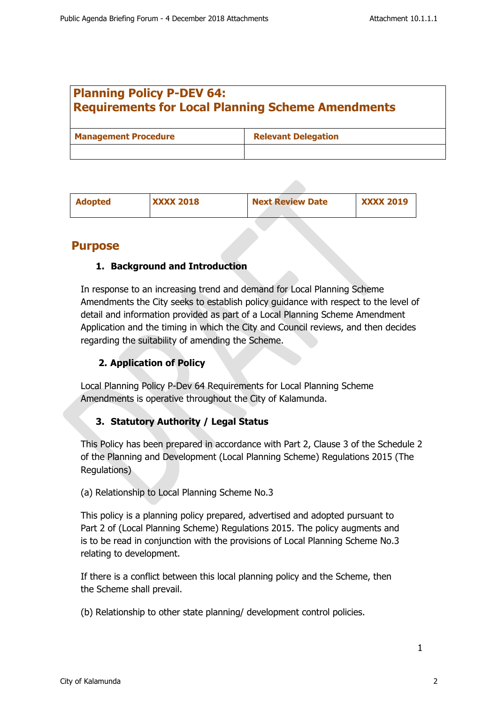# **Planning Policy P-DEV 64: Requirements for Local Planning Scheme Amendments**

| <b>Management Procedure</b> | <b>Relevant Delegation</b> |  |
|-----------------------------|----------------------------|--|
|                             |                            |  |

| <b>Adopted</b> | <b>XXXX 2018</b> | <b>Next Review Date</b> | <b>XXXX 2019</b> |
|----------------|------------------|-------------------------|------------------|
|                |                  |                         |                  |

# **Purpose**

# **1. Background and Introduction**

In response to an increasing trend and demand for Local Planning Scheme Amendments the City seeks to establish policy guidance with respect to the level of detail and information provided as part of a Local Planning Scheme Amendment Application and the timing in which the City and Council reviews, and then decides regarding the suitability of amending the Scheme.

# **2. Application of Policy**

Local Planning Policy P-Dev 64 Requirements for Local Planning Scheme Amendments is operative throughout the City of Kalamunda.

# **3. Statutory Authority / Legal Status**

This Policy has been prepared in accordance with Part 2, Clause 3 of the Schedule 2 of the Planning and Development (Local Planning Scheme) Regulations 2015 (The Regulations)

### (a) Relationship to Local Planning Scheme No.3

This policy is a planning policy prepared, advertised and adopted pursuant to Part 2 of (Local Planning Scheme) Regulations 2015. The policy augments and is to be read in conjunction with the provisions of Local Planning Scheme No.3 relating to development.

If there is a conflict between this local planning policy and the Scheme, then the Scheme shall prevail.

(b) Relationship to other state planning/ development control policies.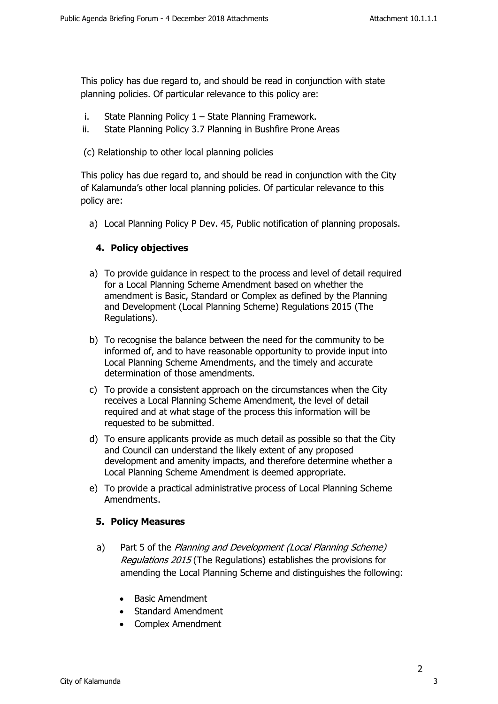This policy has due regard to, and should be read in conjunction with state planning policies. Of particular relevance to this policy are:

- i. State Planning Policy 1 State Planning Framework.
- ii. State Planning Policy 3.7 Planning in Bushfire Prone Areas
- (c) Relationship to other local planning policies

This policy has due regard to, and should be read in conjunction with the City of Kalamunda's other local planning policies. Of particular relevance to this policy are:

a) Local Planning Policy P Dev. 45, Public notification of planning proposals.

### **4. Policy objectives**

- a) To provide guidance in respect to the process and level of detail required for a Local Planning Scheme Amendment based on whether the amendment is Basic, Standard or Complex as defined by the Planning and Development (Local Planning Scheme) Regulations 2015 (The Regulations).
- b) To recognise the balance between the need for the community to be informed of, and to have reasonable opportunity to provide input into Local Planning Scheme Amendments, and the timely and accurate determination of those amendments.
- c) To provide a consistent approach on the circumstances when the City receives a Local Planning Scheme Amendment, the level of detail required and at what stage of the process this information will be requested to be submitted.
- d) To ensure applicants provide as much detail as possible so that the City and Council can understand the likely extent of any proposed development and amenity impacts, and therefore determine whether a Local Planning Scheme Amendment is deemed appropriate.
- e) To provide a practical administrative process of Local Planning Scheme Amendments.

### **5. Policy Measures**

- a) Part 5 of the *Planning and Development (Local Planning Scheme) Regulations 2015* (The Regulations) establishes the provisions for amending the Local Planning Scheme and distinguishes the following:
	- Basic Amendment
	- Standard Amendment
	- Complex Amendment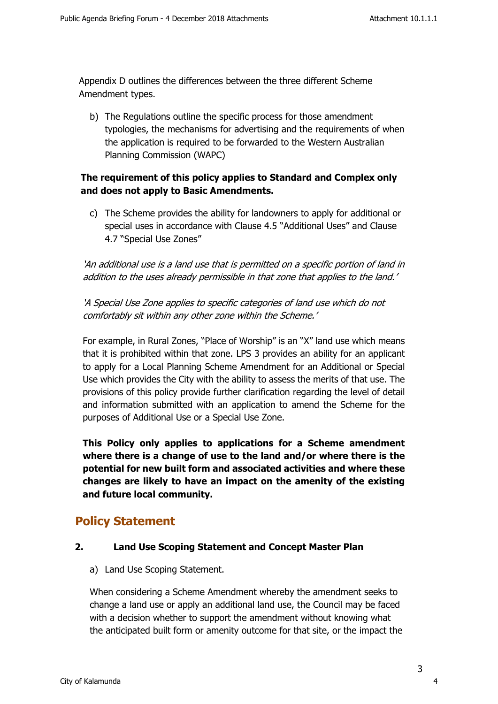Appendix D outlines the differences between the three different Scheme Amendment types.

b) The Regulations outline the specific process for those amendment typologies, the mechanisms for advertising and the requirements of when the application is required to be forwarded to the Western Australian Planning Commission (WAPC)

## **The requirement of this policy applies to Standard and Complex only and does not apply to Basic Amendments.**

c) The Scheme provides the ability for landowners to apply for additional or special uses in accordance with Clause 4.5 "Additional Uses" and Clause 4.7 "Special Use Zones"

*'An additional use is a land use that is permitted on a specific portion of land in addition to the uses already permissible in that zone that applies to the land.'*

*'A Special Use Zone applies to specific categories of land use which do not comfortably sit within any other zone within the Scheme.'*

For example, in Rural Zones, "Place of Worship" is an "X" land use which means that it is prohibited within that zone. LPS 3 provides an ability for an applicant to apply for a Local Planning Scheme Amendment for an Additional or Special Use which provides the City with the ability to assess the merits of that use. The provisions of this policy provide further clarification regarding the level of detail and information submitted with an application to amend the Scheme for the purposes of Additional Use or a Special Use Zone.

**This Policy only applies to applications for a Scheme amendment where there is a change of use to the land and/or where there is the potential for new built form and associated activities and where these changes are likely to have an impact on the amenity of the existing and future local community.**

# **Policy Statement**

### **2. Land Use Scoping Statement and Concept Master Plan**

a) Land Use Scoping Statement.

When considering a Scheme Amendment whereby the amendment seeks to change a land use or apply an additional land use, the Council may be faced with a decision whether to support the amendment without knowing what the anticipated built form or amenity outcome for that site, or the impact the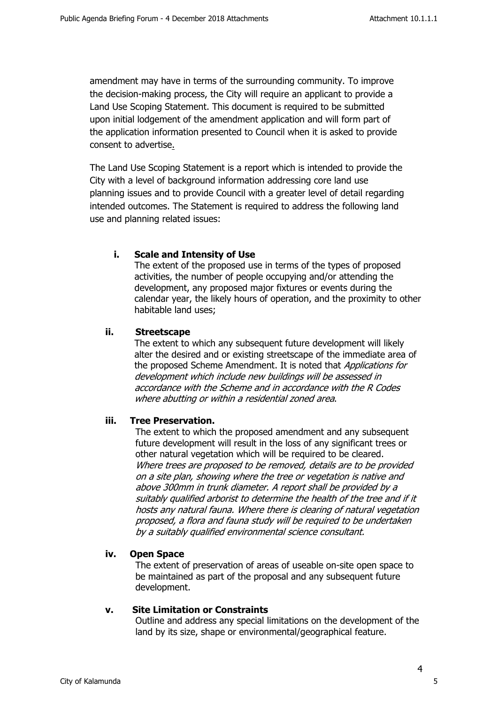amendment may have in terms of the surrounding community. To improve the decision-making process, the City will require an applicant to provide a Land Use Scoping Statement. This document is required to be submitted upon initial lodgement of the amendment application and will form part of the application information presented to Council when it is asked to provide consent to advertise.

The Land Use Scoping Statement is a report which is intended to provide the City with a level of background information addressing core land use planning issues and to provide Council with a greater level of detail regarding intended outcomes. The Statement is required to address the following land use and planning related issues:

### **i. Scale and Intensity of Use**

The extent of the proposed use in terms of the types of proposed activities, the number of people occupying and/or attending the development, any proposed major fixtures or events during the calendar year, the likely hours of operation, and the proximity to other habitable land uses;

### **ii. Streetscape**

The extent to which any subsequent future development will likely alter the desired and or existing streetscape of the immediate area of the proposed Scheme Amendment. It is noted that *Applications for development which include new buildings will be assessed in accordance with the Scheme and in accordance with the R Codes where abutting or within a residential zoned area*.

### **iii. Tree Preservation.**

The extent to which the proposed amendment and any subsequent future development will result in the loss of any significant trees or other natural vegetation which will be required to be cleared. *Where trees are proposed to be removed, details are to be provided on a site plan, showing where the tree or vegetation is native and above 300mm in trunk diameter. A report shall be provided by a suitably qualified arborist to determine the health of the tree and if it hosts any natural fauna. Where there is clearing of natural vegetation proposed, a flora and fauna study will be required to be undertaken by a suitably qualified environmental science consultant.*

### **iv. Open Space**

The extent of preservation of areas of useable on-site open space to be maintained as part of the proposal and any subsequent future development.

### **v. Site Limitation or Constraints**

Outline and address any special limitations on the development of the land by its size, shape or environmental/geographical feature.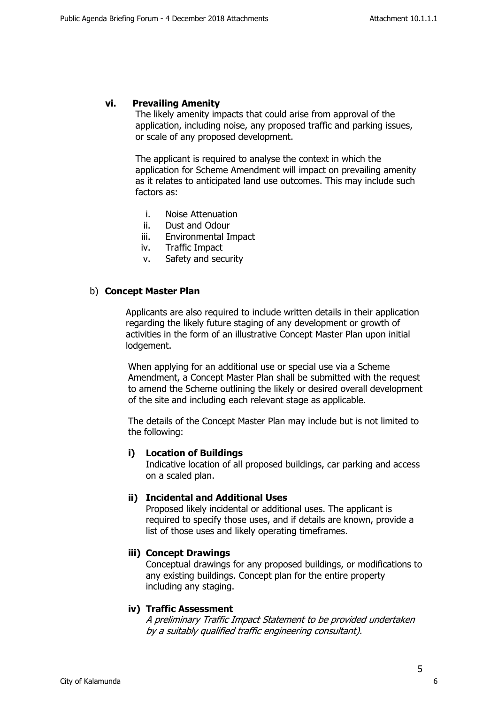#### **vi. Prevailing Amenity**

The likely amenity impacts that could arise from approval of the application, including noise, any proposed traffic and parking issues, or scale of any proposed development.

The applicant is required to analyse the context in which the application for Scheme Amendment will impact on prevailing amenity as it relates to anticipated land use outcomes. This may include such factors as:

- i. Noise Attenuation
- ii. Dust and Odour
- iii. Environmental Impact
- iv. Traffic Impact
- v. Safety and security

#### b) **Concept Master Plan**

Applicants are also required to include written details in their application regarding the likely future staging of any development or growth of activities in the form of an illustrative Concept Master Plan upon initial lodgement.

When applying for an additional use or special use via a Scheme Amendment, a Concept Master Plan shall be submitted with the request to amend the Scheme outlining the likely or desired overall development of the site and including each relevant stage as applicable.

The details of the Concept Master Plan may include but is not limited to the following:

#### **i) Location of Buildings**

Indicative location of all proposed buildings, car parking and access on a scaled plan.

### **ii) Incidental and Additional Uses**

Proposed likely incidental or additional uses. The applicant is required to specify those uses, and if details are known, provide a list of those uses and likely operating timeframes.

### **iii) Concept Drawings**

Conceptual drawings for any proposed buildings, or modifications to any existing buildings. Concept plan for the entire property including any staging.

#### **iv) Traffic Assessment**

*A preliminary Traffic Impact Statement to be provided undertaken by a suitably qualified traffic engineering consultant).*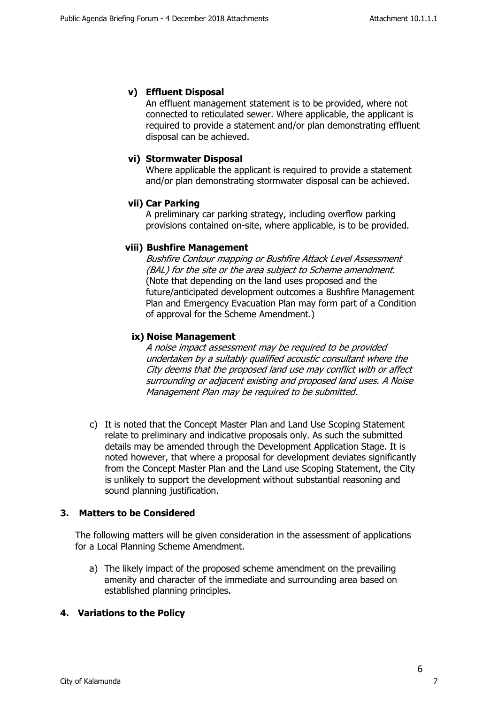### **v) Effluent Disposal**

An effluent management statement is to be provided, where not connected to reticulated sewer. Where applicable, the applicant is required to provide a statement and/or plan demonstrating effluent disposal can be achieved.

### **vi) Stormwater Disposal**

Where applicable the applicant is required to provide a statement and/or plan demonstrating stormwater disposal can be achieved.

#### **vii) Car Parking**

A preliminary car parking strategy, including overflow parking provisions contained on-site, where applicable, is to be provided.

#### **viii) Bushfire Management**

*Bushfire Contour mapping or Bushfire Attack Level Assessment (BAL) for the site or the area subject to Scheme amendment.*  (Note that depending on the land uses proposed and the future/anticipated development outcomes a Bushfire Management Plan and Emergency Evacuation Plan may form part of a Condition of approval for the Scheme Amendment.)

#### **ix) Noise Management**

*A noise impact assessment may be required to be provided undertaken by a suitably qualified acoustic consultant where the City deems that the proposed land use may conflict with or affect surrounding or adjacent existing and proposed land uses. A Noise Management Plan may be required to be submitted.*

c) It is noted that the Concept Master Plan and Land Use Scoping Statement relate to preliminary and indicative proposals only. As such the submitted details may be amended through the Development Application Stage. It is noted however, that where a proposal for development deviates significantly from the Concept Master Plan and the Land use Scoping Statement, the City is unlikely to support the development without substantial reasoning and sound planning justification.

### **3. Matters to be Considered**

The following matters will be given consideration in the assessment of applications for a Local Planning Scheme Amendment.

a) The likely impact of the proposed scheme amendment on the prevailing amenity and character of the immediate and surrounding area based on established planning principles.

### **4. Variations to the Policy**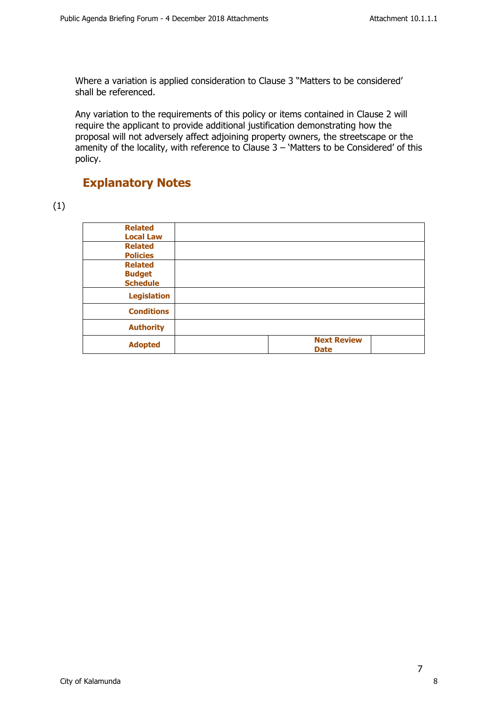Where a variation is applied consideration to Clause 3 "Matters to be considered' shall be referenced.

Any variation to the requirements of this policy or items contained in Clause 2 will require the applicant to provide additional justification demonstrating how the proposal will not adversely affect adjoining property owners, the streetscape or the amenity of the locality, with reference to Clause 3 – 'Matters to be Considered' of this policy.

# **Explanatory Notes**

## (1)

| <b>Related</b><br><b>Local Law</b> |                                   |
|------------------------------------|-----------------------------------|
| <b>Related</b>                     |                                   |
| <b>Policies</b><br><b>Related</b>  |                                   |
| <b>Budget</b><br><b>Schedule</b>   |                                   |
| <b>Legislation</b>                 |                                   |
| <b>Conditions</b>                  |                                   |
| <b>Authority</b>                   |                                   |
| <b>Adopted</b>                     | <b>Next Review</b><br><b>Date</b> |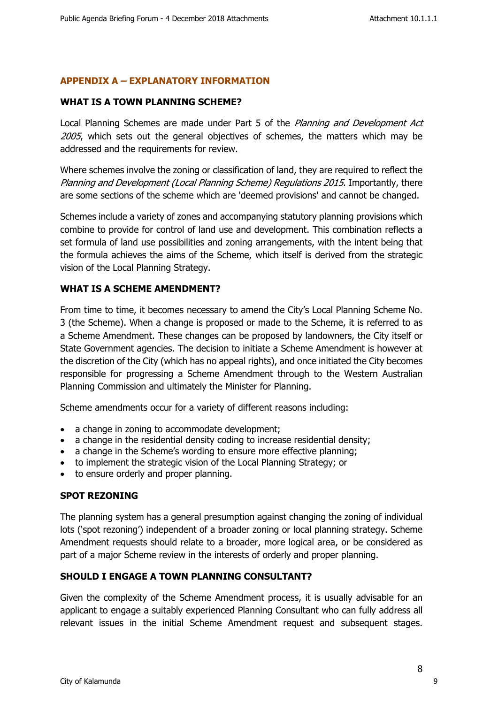## **APPENDIX A – EXPLANATORY INFORMATION**

### **WHAT IS A TOWN PLANNING SCHEME?**

Local Planning Schemes are made under Part 5 of the *Planning and Development Act 2005*, which sets out the general objectives of schemes, the matters which may be addressed and the requirements for review.

Where schemes involve the zoning or classification of land, they are required to reflect the *Planning and Development (Local Planning Scheme) Regulations 2015*. Importantly, there are some sections of the scheme which are 'deemed provisions' and cannot be changed.

Schemes include a variety of zones and accompanying statutory planning provisions which combine to provide for control of land use and development. This combination reflects a set formula of land use possibilities and zoning arrangements, with the intent being that the formula achieves the aims of the Scheme, which itself is derived from the strategic vision of the Local Planning Strategy.

### **WHAT IS A SCHEME AMENDMENT?**

From time to time, it becomes necessary to amend the City's Local Planning Scheme No. 3 (the Scheme). When a change is proposed or made to the Scheme, it is referred to as a Scheme Amendment. These changes can be proposed by landowners, the City itself or State Government agencies. The decision to initiate a Scheme Amendment is however at the discretion of the City (which has no appeal rights), and once initiated the City becomes responsible for progressing a Scheme Amendment through to the Western Australian Planning Commission and ultimately the Minister for Planning.

Scheme amendments occur for a variety of different reasons including:

- a change in zoning to accommodate development;
- a change in the residential density coding to increase residential density;
- a change in the Scheme's wording to ensure more effective planning;
- to implement the strategic vision of the Local Planning Strategy; or
- to ensure orderly and proper planning.

### **SPOT REZONING**

The planning system has a general presumption against changing the zoning of individual lots ('spot rezoning') independent of a broader zoning or local planning strategy. Scheme Amendment requests should relate to a broader, more logical area, or be considered as part of a major Scheme review in the interests of orderly and proper planning.

### **SHOULD I ENGAGE A TOWN PLANNING CONSULTANT?**

Given the complexity of the Scheme Amendment process, it is usually advisable for an applicant to engage a suitably experienced Planning Consultant who can fully address all relevant issues in the initial Scheme Amendment request and subsequent stages.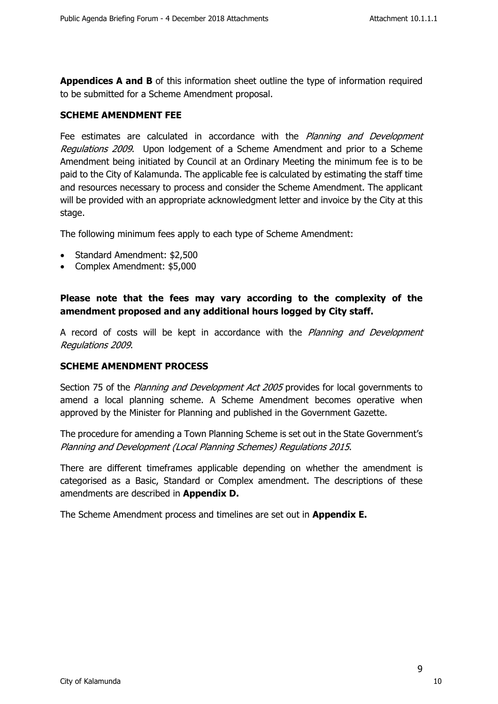**Appendices A and B** of this information sheet outline the type of information required to be submitted for a Scheme Amendment proposal.

### **SCHEME AMENDMENT FEE**

Fee estimates are calculated in accordance with the *Planning and Development Regulations 2009*. Upon lodgement of a Scheme Amendment and prior to a Scheme Amendment being initiated by Council at an Ordinary Meeting the minimum fee is to be paid to the City of Kalamunda. The applicable fee is calculated by estimating the staff time and resources necessary to process and consider the Scheme Amendment. The applicant will be provided with an appropriate acknowledgment letter and invoice by the City at this stage.

The following minimum fees apply to each type of Scheme Amendment:

- Standard Amendment: \$2,500
- Complex Amendment: \$5,000

**Please note that the fees may vary according to the complexity of the amendment proposed and any additional hours logged by City staff.**

A record of costs will be kept in accordance with the *Planning and Development Regulations 2009*.

### **SCHEME AMENDMENT PROCESS**

Section 75 of the *Planning and Development Act 2005* provides for local governments to amend a local planning scheme. A Scheme Amendment becomes operative when approved by the Minister for Planning and published in the Government Gazette.

The procedure for amending a Town Planning Scheme is set out in the State Government's *Planning and Development (Local Planning Schemes) Regulations 2015*.

There are different timeframes applicable depending on whether the amendment is categorised as a Basic, Standard or Complex amendment. The descriptions of these amendments are described in **Appendix D.**

The Scheme Amendment process and timelines are set out in **Appendix E.**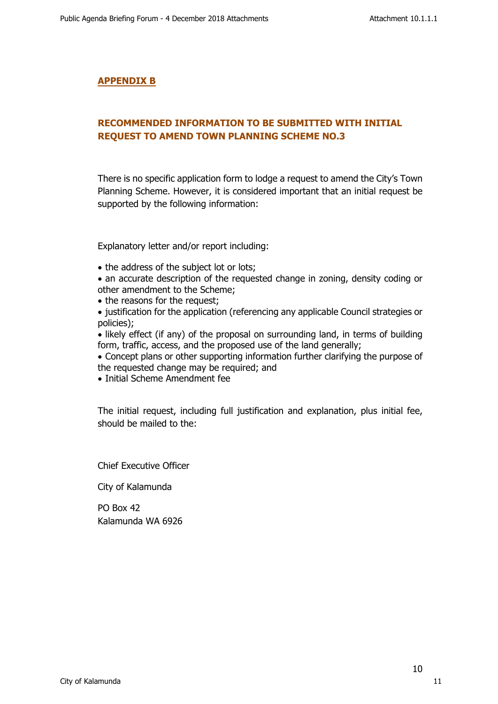### **APPENDIX B**

# **RECOMMENDED INFORMATION TO BE SUBMITTED WITH INITIAL REQUEST TO AMEND TOWN PLANNING SCHEME NO.3**

There is no specific application form to lodge a request to amend the City's Town Planning Scheme. However, it is considered important that an initial request be supported by the following information:

Explanatory letter and/or report including:

- the address of the subject lot or lots;
- an accurate description of the requested change in zoning, density coding or other amendment to the Scheme;
- the reasons for the request;
- justification for the application (referencing any applicable Council strategies or policies);

• likely effect (if any) of the proposal on surrounding land, in terms of building form, traffic, access, and the proposed use of the land generally;

- Concept plans or other supporting information further clarifying the purpose of the requested change may be required; and
- Initial Scheme Amendment fee

The initial request, including full justification and explanation, plus initial fee, should be mailed to the:

Chief Executive Officer

City of Kalamunda

PO Box 42 Kalamunda WA 6926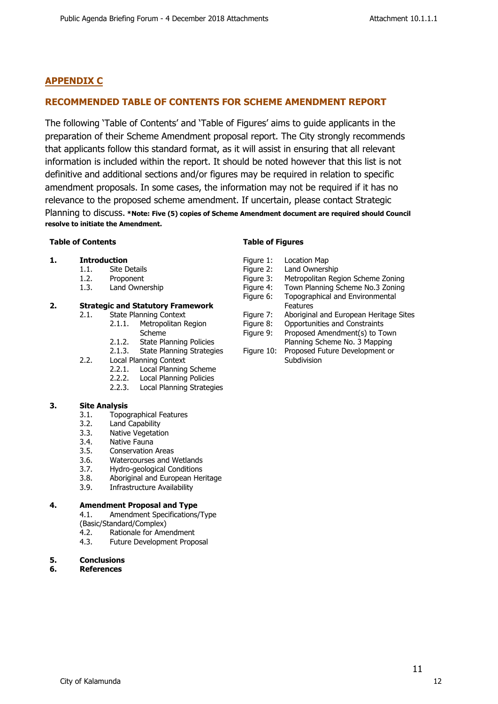# **APPENDIX C**

## **RECOMMENDED TABLE OF CONTENTS FOR SCHEME AMENDMENT REPORT**

The following 'Table of Contents' and 'Table of Figures' aims to guide applicants in the preparation of their Scheme Amendment proposal report. The City strongly recommends that applicants follow this standard format, as it will assist in ensuring that all relevant information is included within the report. It should be noted however that this list is not definitive and additional sections and/or figures may be required in relation to specific amendment proposals. In some cases, the information may not be required if it has no relevance to the proposed scheme amendment. If uncertain, please contact Strategic

Planning to discuss. **\*Note: Five (5) copies of Scheme Amendment document are required should Council resolve to initiate the Amendment.**

#### **Table of Contents**

#### **1. Introduction**

- 1.1. Site Details
- 1.2. Proponent
- 1.3. Land Ownership

#### **2. Strategic and Statutory Framework**

- 2.1. State Planning Context
	- 2.1.1. Metropolitan Region
	- Scheme
	- 2.1.2. State Planning Policies 2.1.3. State Planning Strategies
- 2.2. Local Planning Context
	- 2.2.1. Local Planning Scheme
	- 2.2.2. Local Planning Policies
	- 2.2.3. Local Planning Strategies

#### **3. Site Analysis**

- 3.1. Topographical Features
- 3.2. Land Capability
- 3.3. Native Vegetation
- 3.4. Native Fauna
- 3.5. Conservation Areas
- 3.6. Watercourses and Wetlands
- 3.7. Hydro-geological Conditions
- 3.8. Aboriginal and European Heritage
- 3.9. Infrastructure Availability

#### **4. Amendment Proposal and Type**

- 4.1. Amendment Specifications/Type
- (Basic/Standard/Complex)
- 4.2. Rationale for Amendment
- 4.3. Future Development Proposal

#### **5. Conclusions**

#### **6. References**

#### **Table of Figures**

Figure 1: Location Map Figure 2: Land Ownership Figure 3: Metropolitan Region Scheme Zoning Figure 4: Town Planning Scheme No.3 Zoning<br>Figure 6: Topographical and Environmental Topographical and Environmental Features Figure 7: Aboriginal and European Heritage Sites Figure 8: Opportunities and Constraints Figure 9: Proposed Amendment(s) to Town Planning Scheme No. 3 Mapping Figure 10: Proposed Future Development or Subdivision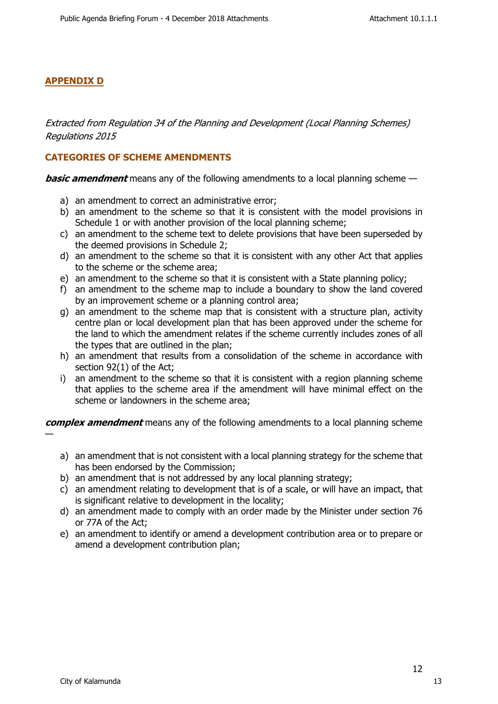### **APPENDIX D**

*Extracted from Regulation 34 of the Planning and Development (Local Planning Schemes) Regulations 2015*

### **CATEGORIES OF SCHEME AMENDMENTS**

*basic amendment* means any of the following amendments to a local planning scheme —

- a) an amendment to correct an administrative error;
- b) an amendment to the scheme so that it is consistent with the model provisions in Schedule 1 or with another provision of the local planning scheme;
- c) an amendment to the scheme text to delete provisions that have been superseded by the deemed provisions in Schedule 2;
- d) an amendment to the scheme so that it is consistent with any other Act that applies to the scheme or the scheme area;
- e) an amendment to the scheme so that it is consistent with a State planning policy;
- f) an amendment to the scheme map to include a boundary to show the land covered by an improvement scheme or a planning control area;
- g) an amendment to the scheme map that is consistent with a structure plan, activity centre plan or local development plan that has been approved under the scheme for the land to which the amendment relates if the scheme currently includes zones of all the types that are outlined in the plan;
- h) an amendment that results from a consolidation of the scheme in accordance with section 92(1) of the Act;
- i) an amendment to the scheme so that it is consistent with a region planning scheme that applies to the scheme area if the amendment will have minimal effect on the scheme or landowners in the scheme area;

*complex amendment* means any of the following amendments to a local planning scheme —

- a) an amendment that is not consistent with a local planning strategy for the scheme that has been endorsed by the Commission;
- b) an amendment that is not addressed by any local planning strategy;
- c) an amendment relating to development that is of a scale, or will have an impact, that is significant relative to development in the locality;
- d) an amendment made to comply with an order made by the Minister under section 76 or 77A of the Act;
- e) an amendment to identify or amend a development contribution area or to prepare or amend a development contribution plan;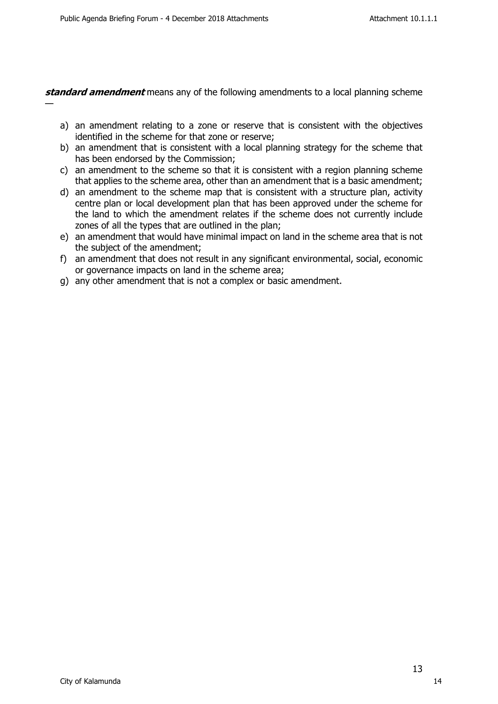—

*standard amendment* means any of the following amendments to a local planning scheme

- a) an amendment relating to a zone or reserve that is consistent with the objectives identified in the scheme for that zone or reserve;
- b) an amendment that is consistent with a local planning strategy for the scheme that has been endorsed by the Commission;
- c) an amendment to the scheme so that it is consistent with a region planning scheme that applies to the scheme area, other than an amendment that is a basic amendment;
- d) an amendment to the scheme map that is consistent with a structure plan, activity centre plan or local development plan that has been approved under the scheme for the land to which the amendment relates if the scheme does not currently include zones of all the types that are outlined in the plan;
- e) an amendment that would have minimal impact on land in the scheme area that is not the subject of the amendment;
- f) an amendment that does not result in any significant environmental, social, economic or governance impacts on land in the scheme area;
- g) any other amendment that is not a complex or basic amendment.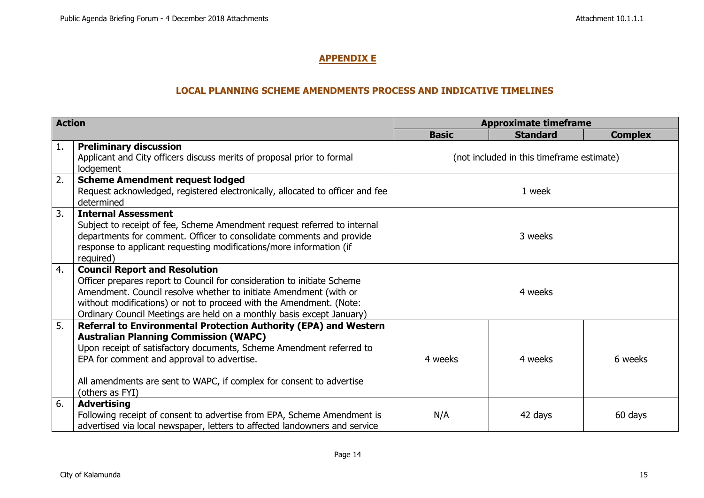# **APPENDIX E**

### **LOCAL PLANNING SCHEME AMENDMENTS PROCESS AND INDICATIVE TIMELINES**

| <b>Action</b> |                                                                                                                                                                                                                                                                                                                                      | <b>Approximate timeframe</b>              |                 |                |
|---------------|--------------------------------------------------------------------------------------------------------------------------------------------------------------------------------------------------------------------------------------------------------------------------------------------------------------------------------------|-------------------------------------------|-----------------|----------------|
|               |                                                                                                                                                                                                                                                                                                                                      | <b>Basic</b>                              | <b>Standard</b> | <b>Complex</b> |
| 1.            | <b>Preliminary discussion</b><br>Applicant and City officers discuss merits of proposal prior to formal<br>lodgement                                                                                                                                                                                                                 | (not included in this timeframe estimate) |                 |                |
| 2.            | <b>Scheme Amendment request lodged</b><br>Request acknowledged, registered electronically, allocated to officer and fee<br>determined                                                                                                                                                                                                | 1 week                                    |                 |                |
| 3.            | <b>Internal Assessment</b><br>Subject to receipt of fee, Scheme Amendment request referred to internal<br>departments for comment. Officer to consolidate comments and provide<br>response to applicant requesting modifications/more information (if<br>required)                                                                   | 3 weeks                                   |                 |                |
| 4.            | <b>Council Report and Resolution</b><br>Officer prepares report to Council for consideration to initiate Scheme<br>Amendment. Council resolve whether to initiate Amendment (with or<br>without modifications) or not to proceed with the Amendment. (Note:<br>Ordinary Council Meetings are held on a monthly basis except January) | 4 weeks                                   |                 |                |
| 5.            | Referral to Environmental Protection Authority (EPA) and Western<br><b>Australian Planning Commission (WAPC)</b><br>Upon receipt of satisfactory documents, Scheme Amendment referred to<br>EPA for comment and approval to advertise.<br>All amendments are sent to WAPC, if complex for consent to advertise<br>(others as FYI)    | 4 weeks                                   | 4 weeks         | 6 weeks        |
| 6.            | <b>Advertising</b><br>Following receipt of consent to advertise from EPA, Scheme Amendment is<br>advertised via local newspaper, letters to affected landowners and service                                                                                                                                                          | N/A                                       | 42 days         | 60 days        |